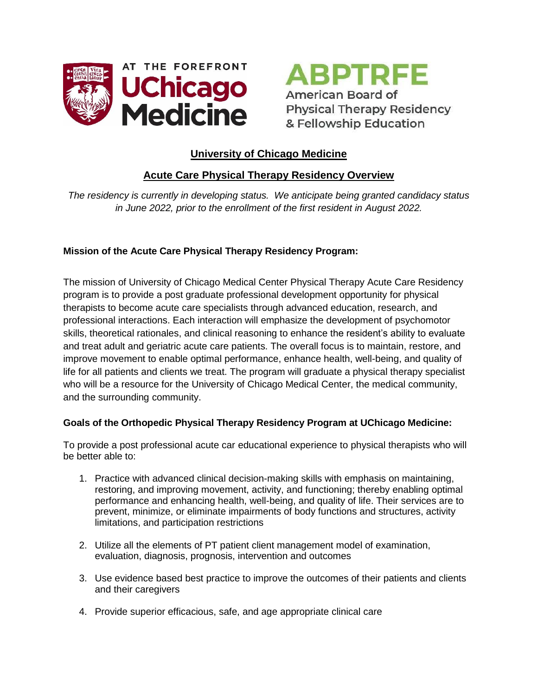

**ABPTRFE** American Board of **Physical Therapy Residency** & Fellowship Education

# **University of Chicago Medicine**

# **Acute Care Physical Therapy Residency Overview**

*The residency is currently in developing status. We anticipate being granted candidacy status in June 2022, prior to the enrollment of the first resident in August 2022.*

# **Mission of the Acute Care Physical Therapy Residency Program:**

The mission of University of Chicago Medical Center Physical Therapy Acute Care Residency program is to provide a post graduate professional development opportunity for physical therapists to become acute care specialists through advanced education, research, and professional interactions. Each interaction will emphasize the development of psychomotor skills, theoretical rationales, and clinical reasoning to enhance the resident's ability to evaluate and treat adult and geriatric acute care patients. The overall focus is to maintain, restore, and improve movement to enable optimal performance, enhance health, well-being, and quality of life for all patients and clients we treat. The program will graduate a physical therapy specialist who will be a resource for the University of Chicago Medical Center, the medical community, and the surrounding community.

## **Goals of the Orthopedic Physical Therapy Residency Program at UChicago Medicine:**

To provide a post professional acute car educational experience to physical therapists who will be better able to:

- 1. Practice with advanced clinical decision-making skills with emphasis on maintaining, restoring, and improving movement, activity, and functioning; thereby enabling optimal performance and enhancing health, well-being, and quality of life. Their services are to prevent, minimize, or eliminate impairments of body functions and structures, activity limitations, and participation restrictions
- 2. Utilize all the elements of PT patient client management model of examination, evaluation, diagnosis, prognosis, intervention and outcomes
- 3. Use evidence based best practice to improve the outcomes of their patients and clients and their caregivers
- 4. Provide superior efficacious, safe, and age appropriate clinical care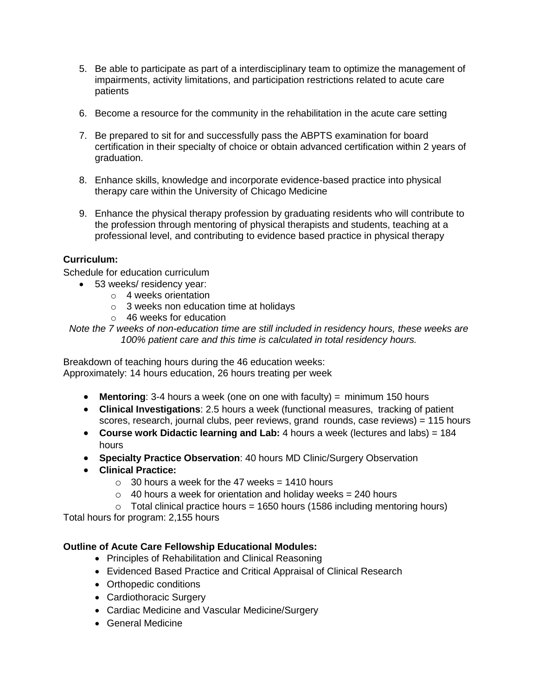- 5. Be able to participate as part of a interdisciplinary team to optimize the management of impairments, activity limitations, and participation restrictions related to acute care patients
- 6. Become a resource for the community in the rehabilitation in the acute care setting
- 7. Be prepared to sit for and successfully pass the ABPTS examination for board certification in their specialty of choice or obtain advanced certification within 2 years of graduation.
- 8. Enhance skills, knowledge and incorporate evidence-based practice into physical therapy care within the University of Chicago Medicine
- 9. Enhance the physical therapy profession by graduating residents who will contribute to the profession through mentoring of physical therapists and students, teaching at a professional level, and contributing to evidence based practice in physical therapy

## **Curriculum:**

Schedule for education curriculum

- 53 weeks/ residency year:
	- o 4 weeks orientation
	- o 3 weeks non education time at holidays
	- o 46 weeks for education
- *Note the 7 weeks of non-education time are still included in residency hours, these weeks are 100% patient care and this time is calculated in total residency hours.*

Breakdown of teaching hours during the 46 education weeks: Approximately: 14 hours education, 26 hours treating per week

- **Mentoring**: 3-4 hours a week (one on one with faculty) = minimum 150 hours
- **Clinical Investigations**: 2.5 hours a week (functional measures, tracking of patient scores, research, journal clubs, peer reviews, grand rounds, case reviews) = 115 hours
- **Course work Didactic learning and Lab:** 4 hours a week (lectures and labs) = 184 hours
- **Specialty Practice Observation**: 40 hours MD Clinic/Surgery Observation
- **Clinical Practice:** 
	- $\circ$  30 hours a week for the 47 weeks = 1410 hours
	- $\circ$  40 hours a week for orientation and holiday weeks = 240 hours
	- $\circ$  Total clinical practice hours = 1650 hours (1586 including mentoring hours)

Total hours for program: 2,155 hours

## **Outline of Acute Care Fellowship Educational Modules:**

- Principles of Rehabilitation and Clinical Reasoning
- Evidenced Based Practice and Critical Appraisal of Clinical Research
- Orthopedic conditions
- Cardiothoracic Surgery
- Cardiac Medicine and Vascular Medicine/Surgery
- General Medicine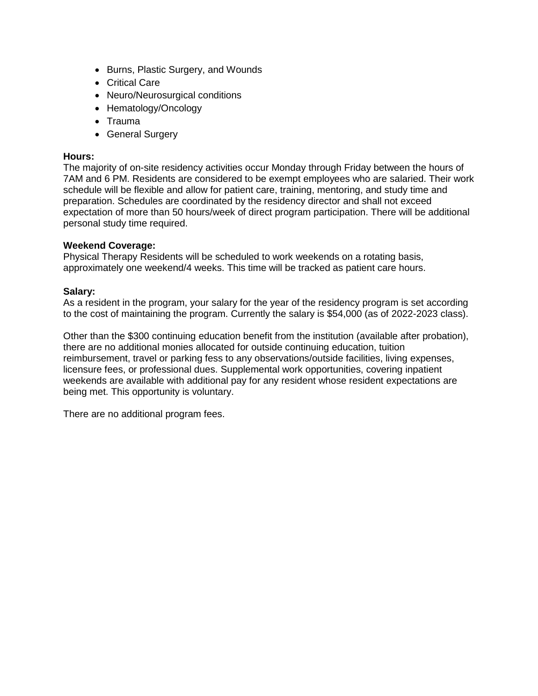- Burns, Plastic Surgery, and Wounds
- Critical Care
- Neuro/Neurosurgical conditions
- Hematology/Oncology
- Trauma
- General Surgery

### **Hours:**

The majority of on-site residency activities occur Monday through Friday between the hours of 7AM and 6 PM. Residents are considered to be exempt employees who are salaried. Their work schedule will be flexible and allow for patient care, training, mentoring, and study time and preparation. Schedules are coordinated by the residency director and shall not exceed expectation of more than 50 hours/week of direct program participation. There will be additional personal study time required.

### **Weekend Coverage:**

Physical Therapy Residents will be scheduled to work weekends on a rotating basis, approximately one weekend/4 weeks. This time will be tracked as patient care hours.

### **Salary:**

As a resident in the program, your salary for the year of the residency program is set according to the cost of maintaining the program. Currently the salary is \$54,000 (as of 2022-2023 class).

Other than the \$300 continuing education benefit from the institution (available after probation), there are no additional monies allocated for outside continuing education, tuition reimbursement, travel or parking fess to any observations/outside facilities, living expenses, licensure fees, or professional dues. Supplemental work opportunities, covering inpatient weekends are available with additional pay for any resident whose resident expectations are being met. This opportunity is voluntary.

There are no additional program fees.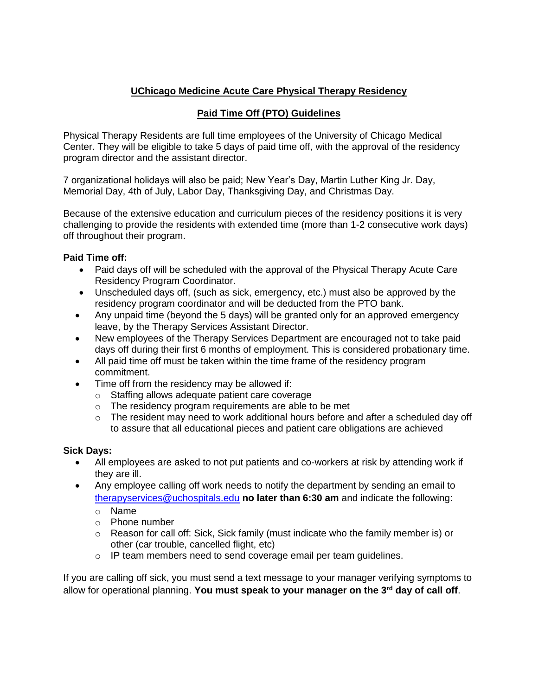# **UChicago Medicine Acute Care Physical Therapy Residency**

# **Paid Time Off (PTO) Guidelines**

Physical Therapy Residents are full time employees of the University of Chicago Medical Center. They will be eligible to take 5 days of paid time off, with the approval of the residency program director and the assistant director.

7 organizational holidays will also be paid; New Year's Day, Martin Luther King Jr. Day, Memorial Day, 4th of July, Labor Day, Thanksgiving Day, and Christmas Day.

Because of the extensive education and curriculum pieces of the residency positions it is very challenging to provide the residents with extended time (more than 1-2 consecutive work days) off throughout their program.

## **Paid Time off:**

- Paid days off will be scheduled with the approval of the Physical Therapy Acute Care Residency Program Coordinator.
- Unscheduled days off, (such as sick, emergency, etc.) must also be approved by the residency program coordinator and will be deducted from the PTO bank.
- Any unpaid time (beyond the 5 days) will be granted only for an approved emergency leave, by the Therapy Services Assistant Director.
- New employees of the Therapy Services Department are encouraged not to take paid days off during their first 6 months of employment. This is considered probationary time.
- All paid time off must be taken within the time frame of the residency program commitment.
- Time off from the residency may be allowed if:
	- o Staffing allows adequate patient care coverage
	- o The residency program requirements are able to be met
	- $\circ$  The resident may need to work additional hours before and after a scheduled day off to assure that all educational pieces and patient care obligations are achieved

## **Sick Days:**

- All employees are asked to not put patients and co-workers at risk by attending work if they are ill.
- Any employee calling off work needs to notify the department by sending an email to [therapyservices@uchospitals.edu](mailto:therapyservices@uchospitals.edu) **no later than 6:30 am** and indicate the following:
	- o Name
	- o Phone number
	- $\circ$  Reason for call off: Sick, Sick family (must indicate who the family member is) or other (car trouble, cancelled flight, etc)
	- o IP team members need to send coverage email per team guidelines.

If you are calling off sick, you must send a text message to your manager verifying symptoms to allow for operational planning. **You must speak to your manager on the 3rd day of call off**.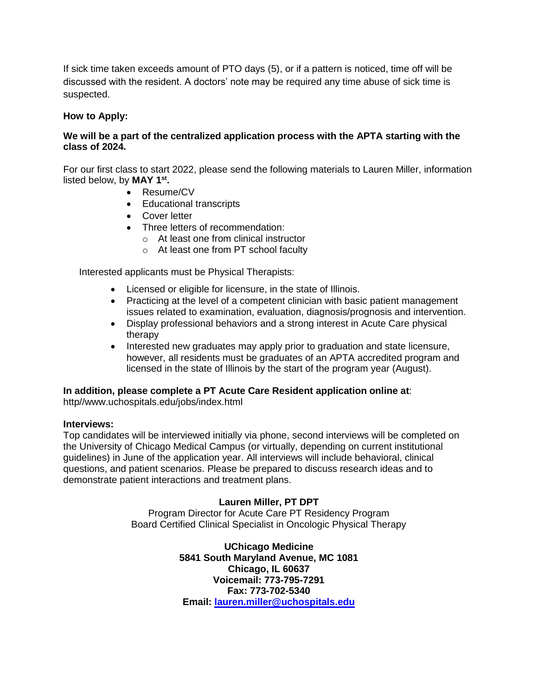If sick time taken exceeds amount of PTO days (5), or if a pattern is noticed, time off will be discussed with the resident. A doctors' note may be required any time abuse of sick time is suspected.

## **How to Apply:**

## **We will be a part of the centralized application process with the APTA starting with the class of 2024.**

For our first class to start 2022, please send the following materials to Lauren Miller, information listed below, by **MAY 1st .** 

- Resume/CV
- Educational transcripts
- **•** Cover letter
- Three letters of recommendation:
	- o At least one from clinical instructor
	- o At least one from PT school faculty

Interested applicants must be Physical Therapists:

- Licensed or eligible for licensure, in the state of Illinois.
- Practicing at the level of a competent clinician with basic patient management issues related to examination, evaluation, diagnosis/prognosis and intervention.
- Display professional behaviors and a strong interest in Acute Care physical therapy
- Interested new graduates may apply prior to graduation and state licensure, however, all residents must be graduates of an APTA accredited program and licensed in the state of Illinois by the start of the program year (August).

## **In addition, please complete a PT Acute Care Resident application online at**:

http//www.uchospitals.edu/jobs/index.html

#### **Interviews:**

Top candidates will be interviewed initially via phone, second interviews will be completed on the University of Chicago Medical Campus (or virtually, depending on current institutional guidelines) in June of the application year. All interviews will include behavioral, clinical questions, and patient scenarios. Please be prepared to discuss research ideas and to demonstrate patient interactions and treatment plans.

## **Lauren Miller, PT DPT**

Program Director for Acute Care PT Residency Program Board Certified Clinical Specialist in Oncologic Physical Therapy

> **UChicago Medicine 5841 South Maryland Avenue, MC 1081 Chicago, IL 60637 Voicemail: 773-795-7291 Fax: 773-702-5340 Email: [lauren.miller@uchospitals.edu](mailto:lauren.miller@uchospitals.edu)**